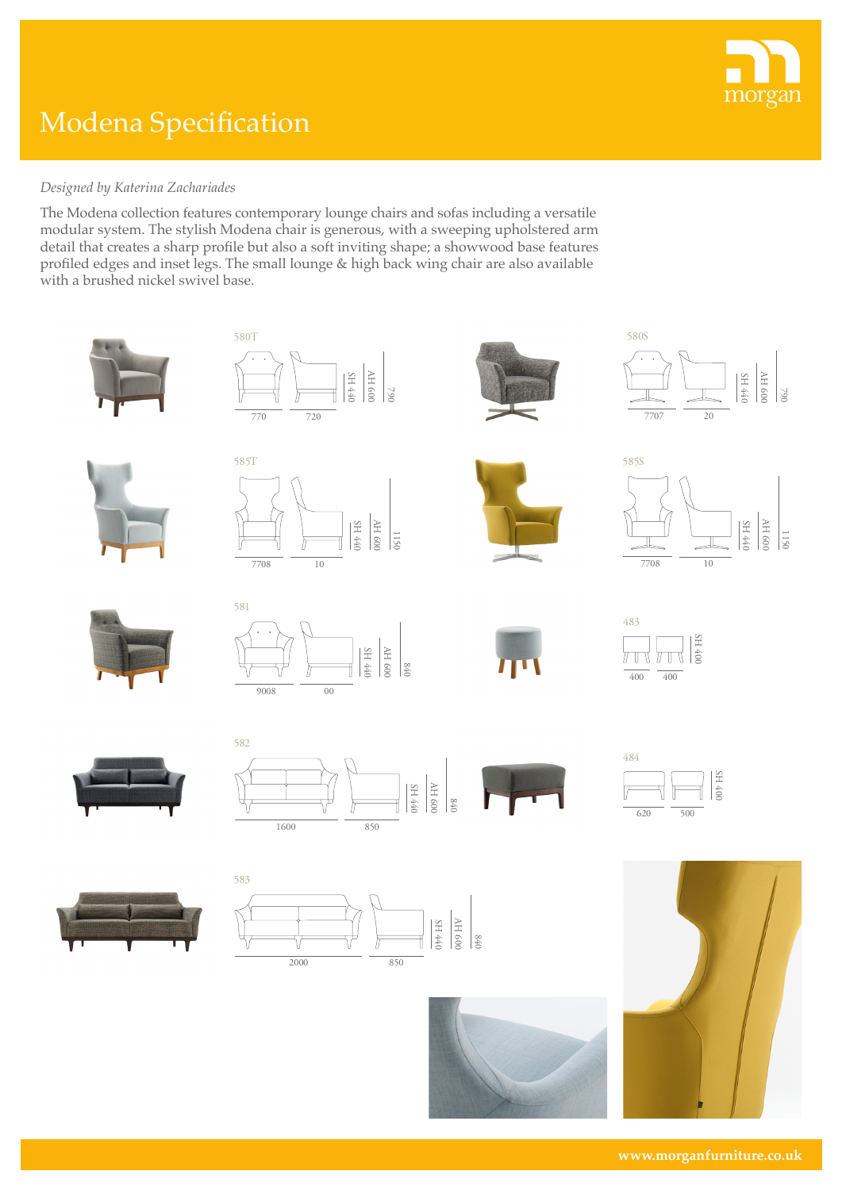

## Modena Specification

## *Designed by Katerina Zachariades*

The Modena collection features contemporary lounge chairs and sofas including a versatile modular system. The stylish Modena chair is generous, with a sweeping upholstered arm detail that creates a sharp profile but also a soft inviting shape; a showwood base features profiled edges and inset legs. The small lounge & high back wing chair are also available with a brushed nickel swivel base.